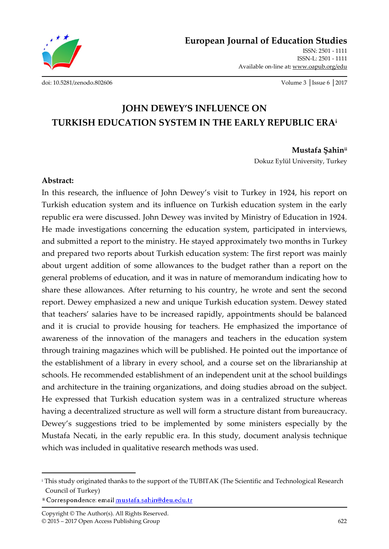

**European Journal of Education Studies** ISSN: 2501 - 1111

> ISSN-L: 2501 - 1111 Available on-line at**:** www.oapub.org/edu

[doi: 10.5281/zenodo.802606](http://dx.doi.org/10.5281/zenodo.802606) Volume 3 │Issue 6 │2017

# **JOHN DEWEY'S INFLUENCE ON TURKISH EDUCATION SYSTEM IN THE EARLY REPUBLIC ERA<sup>i</sup>**

#### **Mustafa Şahinii**

Dokuz Eylül University, Turkey

#### **Abstract:**

In this research, the influence of John Dewey's visit to Turkey in 1924, his report on Turkish education system and its influence on Turkish education system in the early republic era were discussed. John Dewey was invited by Ministry of Education in 1924. He made investigations concerning the education system, participated in interviews, and submitted a report to the ministry. He stayed approximately two months in Turkey and prepared two reports about Turkish education system: The first report was mainly about urgent addition of some allowances to the budget rather than a report on the general problems of education, and it was in nature of memorandum indicating how to share these allowances. After returning to his country, he wrote and sent the second report. Dewey emphasized a new and unique Turkish education system. Dewey stated that teachers' salaries have to be increased rapidly, appointments should be balanced and it is crucial to provide housing for teachers. He emphasized the importance of awareness of the innovation of the managers and teachers in the education system through training magazines which will be published. He pointed out the importance of the establishment of a library in every school, and a course set on the librarianship at schools. He recommended establishment of an independent unit at the school buildings and architecture in the training organizations, and doing studies abroad on the subject. He expressed that Turkish education system was in a centralized structure whereas having a decentralized structure as well will form a structure distant from bureaucracy. Dewey's suggestions tried to be implemented by some ministers especially by the Mustafa Necati, in the early republic era. In this study, document analysis technique which was included in qualitative research methods was used.

 $\overline{a}$ 

<sup>&</sup>lt;sup>i</sup> This study originated thanks to the support of the TUBITAK (The Scientific and Technological Research Council of Turkey)

<sup>&</sup>lt;sup>ii</sup> Correspondence: email mustafa.sahin@deu.edu.tr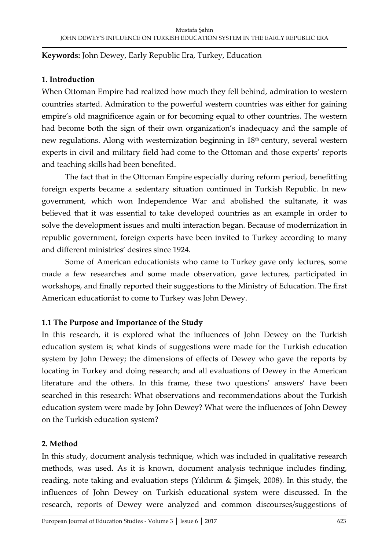#### **Keywords:** John Dewey, Early Republic Era, Turkey, Education

#### **1. Introduction**

When Ottoman Empire had realized how much they fell behind, admiration to western countries started. Admiration to the powerful western countries was either for gaining empire's old magnificence again or for becoming equal to other countries. The western had become both the sign of their own organization's inadequacy and the sample of new regulations. Along with westernization beginning in 18<sup>th</sup> century, several western experts in civil and military field had come to the Ottoman and those experts' reports and teaching skills had been benefited.

The fact that in the Ottoman Empire especially during reform period, benefitting foreign experts became a sedentary situation continued in Turkish Republic. In new government, which won Independence War and abolished the sultanate, it was believed that it was essential to take developed countries as an example in order to solve the development issues and multi interaction began. Because of modernization in republic government, foreign experts have been invited to Turkey according to many and different ministries' desires since 1924.

Some of American educationists who came to Turkey gave only lectures, some made a few researches and some made observation, gave lectures, participated in workshops, and finally reported their suggestions to the Ministry of Education. The first American educationist to come to Turkey was John Dewey.

## **1.1 The Purpose and Importance of the Study**

In this research, it is explored what the influences of John Dewey on the Turkish education system is; what kinds of suggestions were made for the Turkish education system by John Dewey; the dimensions of effects of Dewey who gave the reports by locating in Turkey and doing research; and all evaluations of Dewey in the American literature and the others. In this frame, these two questions' answers' have been searched in this research: What observations and recommendations about the Turkish education system were made by John Dewey? What were the influences of John Dewey on the Turkish education system?

#### **2. Method**

In this study, document analysis technique, which was included in qualitative research methods, was used. As it is known, document analysis technique includes finding, reading, note taking and evaluation steps (Yıldırım & Şimşek, 2008). In this study, the influences of John Dewey on Turkish educational system were discussed. In the research, reports of Dewey were analyzed and common discourses/suggestions of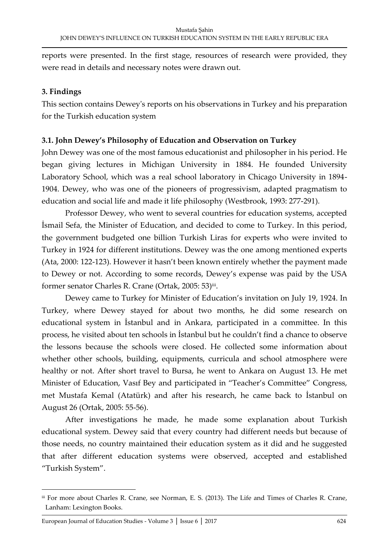reports were presented. In the first stage, resources of research were provided, they were read in details and necessary notes were drawn out.

# **3. Findings**

This section contains Dewey's reports on his observations in Turkey and his preparation for the Turkish education system

# **3.1. John Dewey's Philosophy of Education and Observation on Turkey**

John Dewey was one of the most famous educationist and philosopher in his period. He began giving lectures in Michigan University in 1884. He founded University Laboratory School, which was a real school laboratory in Chicago University in 1894- 1904. Dewey, who was one of the pioneers of progressivism, adapted pragmatism to education and social life and made it life philosophy (Westbrook, 1993: 277-291).

Professor Dewey, who went to several countries for education systems, accepted İsmail Sefa, the Minister of Education, and decided to come to Turkey. In this period, the government budgeted one billion Turkish Liras for experts who were invited to Turkey in 1924 for different institutions. Dewey was the one among mentioned experts (Ata, 2000: 122-123). However it hasn't been known entirely whether the payment made to Dewey or not. According to some records, Dewey's expense was paid by the USA former senator Charles R. Crane (Ortak, 2005: 53)iii.

Dewey came to Turkey for Minister of Education's invitation on July 19, 1924. In Turkey, where Dewey stayed for about two months, he did some research on educational system in İstanbul and in Ankara, participated in a committee. In this process, he visited about ten schools in İstanbul but he couldn't find a chance to observe the lessons because the schools were closed. He collected some information about whether other schools, building, equipments, curricula and school atmosphere were healthy or not. After short travel to Bursa, he went to Ankara on August 13. He met Minister of Education, Vasıf Bey and participated in "Teacher's Committee" Congress, met Mustafa Kemal (Atatürk) and after his research, he came back to İstanbul on August 26 (Ortak, 2005: 55-56).

After investigations he made, he made some explanation about Turkish educational system. Dewey said that every country had different needs but because of those needs, no country maintained their education system as it did and he suggested that after different education systems were observed, accepted and established "Turkish System".

 $\overline{\phantom{a}}$ 

iii For more about Charles R. Crane, see Norman, E. S. (2013). The Life and Times of Charles R. Crane, Lanham: Lexington Books.

European Journal of Education Studies - Volume 3 │ Issue 6 │ 2017 624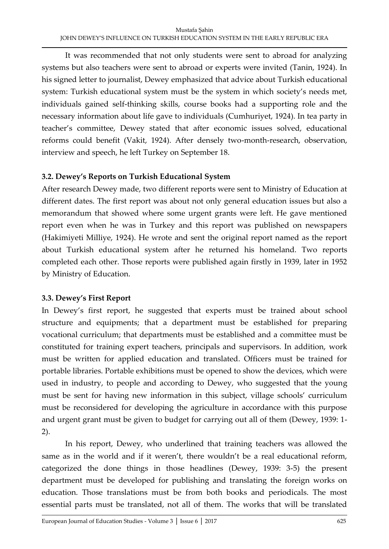It was recommended that not only students were sent to abroad for analyzing systems but also teachers were sent to abroad or experts were invited (Tanin, 1924). In his signed letter to journalist, Dewey emphasized that advice about Turkish educational system: Turkish educational system must be the system in which society's needs met, individuals gained self-thinking skills, course books had a supporting role and the necessary information about life gave to individuals (Cumhuriyet, 1924). In tea party in teacher's committee, Dewey stated that after economic issues solved, educational reforms could benefit (Vakit, 1924). After densely two-month-research, observation, interview and speech, he left Turkey on September 18.

## **3.2. Dewey's Reports on Turkish Educational System**

After research Dewey made, two different reports were sent to Ministry of Education at different dates. The first report was about not only general education issues but also a memorandum that showed where some urgent grants were left. He gave mentioned report even when he was in Turkey and this report was published on newspapers (Hakimiyeti Milliye, 1924). He wrote and sent the original report named as the report about Turkish educational system after he returned his homeland. Two reports completed each other. Those reports were published again firstly in 1939, later in 1952 by Ministry of Education.

## **3.3. Dewey's First Report**

In Dewey's first report, he suggested that experts must be trained about school structure and equipments; that a department must be established for preparing vocational curriculum; that departments must be established and a committee must be constituted for training expert teachers, principals and supervisors. In addition, work must be written for applied education and translated. Officers must be trained for portable libraries. Portable exhibitions must be opened to show the devices, which were used in industry, to people and according to Dewey, who suggested that the young must be sent for having new information in this subject, village schools' curriculum must be reconsidered for developing the agriculture in accordance with this purpose and urgent grant must be given to budget for carrying out all of them (Dewey, 1939: 1- 2).

In his report, Dewey, who underlined that training teachers was allowed the same as in the world and if it weren't, there wouldn't be a real educational reform, categorized the done things in those headlines (Dewey, 1939: 3-5) the present department must be developed for publishing and translating the foreign works on education. Those translations must be from both books and periodicals. The most essential parts must be translated, not all of them. The works that will be translated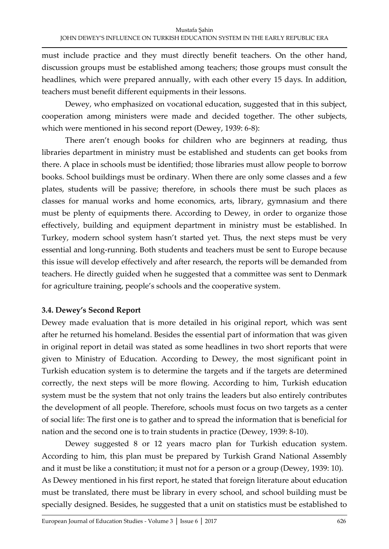must include practice and they must directly benefit teachers. On the other hand, discussion groups must be established among teachers; those groups must consult the headlines, which were prepared annually, with each other every 15 days. In addition, teachers must benefit different equipments in their lessons.

Dewey, who emphasized on vocational education, suggested that in this subject, cooperation among ministers were made and decided together. The other subjects, which were mentioned in his second report (Dewey, 1939: 6-8):

There aren't enough books for children who are beginners at reading, thus libraries department in ministry must be established and students can get books from there. A place in schools must be identified; those libraries must allow people to borrow books. School buildings must be ordinary. When there are only some classes and a few plates, students will be passive; therefore, in schools there must be such places as classes for manual works and home economics, arts, library, gymnasium and there must be plenty of equipments there. According to Dewey, in order to organize those effectively, building and equipment department in ministry must be established. In Turkey, modern school system hasn't started yet. Thus, the next steps must be very essential and long-running. Both students and teachers must be sent to Europe because this issue will develop effectively and after research, the reports will be demanded from teachers. He directly guided when he suggested that a committee was sent to Denmark for agriculture training, people's schools and the cooperative system.

## **3.4. Dewey's Second Report**

Dewey made evaluation that is more detailed in his original report, which was sent after he returned his homeland. Besides the essential part of information that was given in original report in detail was stated as some headlines in two short reports that were given to Ministry of Education. According to Dewey, the most significant point in Turkish education system is to determine the targets and if the targets are determined correctly, the next steps will be more flowing. According to him, Turkish education system must be the system that not only trains the leaders but also entirely contributes the development of all people. Therefore, schools must focus on two targets as a center of social life: The first one is to gather and to spread the information that is beneficial for nation and the second one is to train students in practice (Dewey, 1939: 8-10).

Dewey suggested 8 or 12 years macro plan for Turkish education system. According to him, this plan must be prepared by Turkish Grand National Assembly and it must be like a constitution; it must not for a person or a group (Dewey, 1939: 10). As Dewey mentioned in his first report, he stated that foreign literature about education must be translated, there must be library in every school, and school building must be specially designed. Besides, he suggested that a unit on statistics must be established to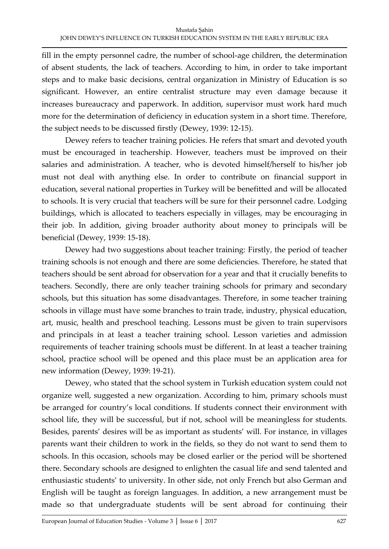fill in the empty personnel cadre, the number of school-age children, the determination of absent students, the lack of teachers. According to him, in order to take important steps and to make basic decisions, central organization in Ministry of Education is so significant. However, an entire centralist structure may even damage because it increases bureaucracy and paperwork. In addition, supervisor must work hard much more for the determination of deficiency in education system in a short time. Therefore, the subject needs to be discussed firstly (Dewey, 1939: 12-15).

Dewey refers to teacher training policies. He refers that smart and devoted youth must be encouraged in teachership. However, teachers must be improved on their salaries and administration. A teacher, who is devoted himself/herself to his/her job must not deal with anything else. In order to contribute on financial support in education, several national properties in Turkey will be benefitted and will be allocated to schools. It is very crucial that teachers will be sure for their personnel cadre. Lodging buildings, which is allocated to teachers especially in villages, may be encouraging in their job. In addition, giving broader authority about money to principals will be beneficial (Dewey, 1939: 15-18).

Dewey had two suggestions about teacher training: Firstly, the period of teacher training schools is not enough and there are some deficiencies. Therefore, he stated that teachers should be sent abroad for observation for a year and that it crucially benefits to teachers. Secondly, there are only teacher training schools for primary and secondary schools, but this situation has some disadvantages. Therefore, in some teacher training schools in village must have some branches to train trade, industry, physical education, art, music, health and preschool teaching. Lessons must be given to train supervisors and principals in at least a teacher training school. Lesson varieties and admission requirements of teacher training schools must be different. In at least a teacher training school, practice school will be opened and this place must be an application area for new information (Dewey, 1939: 19-21).

Dewey, who stated that the school system in Turkish education system could not organize well, suggested a new organization. According to him, primary schools must be arranged for country's local conditions. If students connect their environment with school life, they will be successful, but if not, school will be meaningless for students. Besides, parents' desires will be as important as students' will. For instance, in villages parents want their children to work in the fields, so they do not want to send them to schools. In this occasion, schools may be closed earlier or the period will be shortened there. Secondary schools are designed to enlighten the casual life and send talented and enthusiastic students' to university. In other side, not only French but also German and English will be taught as foreign languages. In addition, a new arrangement must be made so that undergraduate students will be sent abroad for continuing their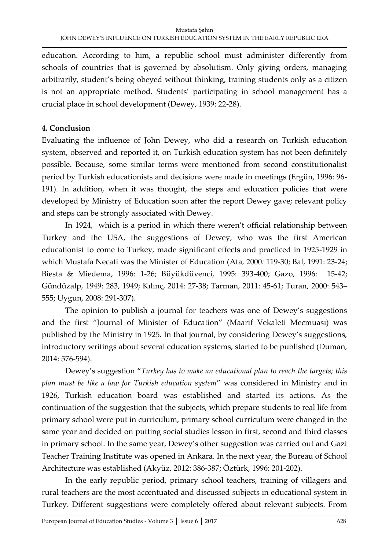education. According to him, a republic school must administer differently from schools of countries that is governed by absolutism. Only giving orders, managing arbitrarily, student's being obeyed without thinking, training students only as a citizen is not an appropriate method. Students' participating in school management has a crucial place in school development (Dewey, 1939: 22-28).

# **4. Conclusion**

Evaluating the influence of John Dewey, who did a research on Turkish education system, observed and reported it, on Turkish education system has not been definitely possible. Because, some similar terms were mentioned from second constitutionalist period by Turkish educationists and decisions were made in meetings (Ergün, 1996: 96- 191). In addition, when it was thought, the steps and education policies that were developed by Ministry of Education soon after the report Dewey gave; relevant policy and steps can be strongly associated with Dewey.

In 1924, which is a period in which there weren't official relationship between Turkey and the USA, the suggestions of Dewey, who was the first American educationist to come to Turkey, made significant effects and practiced in 1925-1929 in which Mustafa Necati was the Minister of Education (Ata, 2000*:* 119-30; Bal, 1991: 23-24; Biesta & Miedema, 1996: 1-26; Büyükdüvenci, 1995: 393-400; Gazo, 1996: 15-42; Gündüzalp, 1949: 283, 1949; Kılınç, 2014: 27-38; Tarman, 2011: 45-61; Turan, 2000: 543– 555; Uygun, 2008: 291-307).

The opinion to publish a journal for teachers was one of Dewey's suggestions and the first "Journal of Minister of Education" (Maarif Vekaleti Mecmuası) was published by the Ministry in 1925. In that journal, by considering Dewey's suggestions, introductory writings about several education systems, started to be published (Duman, 2014: 576-594).

Dewey's suggestion "*Turkey has to make an educational plan to reach the targets; this plan must be like a law for Turkish education system*" was considered in Ministry and in 1926, Turkish education board was established and started its actions. As the continuation of the suggestion that the subjects, which prepare students to real life from primary school were put in curriculum, primary school curriculum were changed in the same year and decided on putting social studies lesson in first, second and third classes in primary school. In the same year, Dewey's other suggestion was carried out and Gazi Teacher Training Institute was opened in Ankara. In the next year, the Bureau of School Architecture was established (Akyüz, 2012: 386-387; Öztürk, 1996: 201-202).

In the early republic period, primary school teachers, training of villagers and rural teachers are the most accentuated and discussed subjects in educational system in Turkey. Different suggestions were completely offered about relevant subjects. From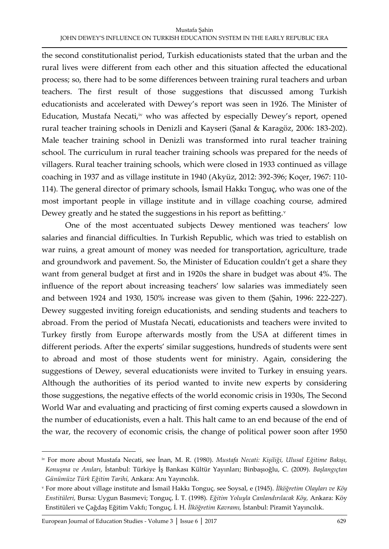the second constitutionalist period, Turkish educationists stated that the urban and the rural lives were different from each other and this situation affected the educational process; so, there had to be some differences between training rural teachers and urban teachers. The first result of those suggestions that discussed among Turkish educationists and accelerated with Dewey's report was seen in 1926. The Minister of Education, Mustafa Necati,<sup>iv</sup> who was affected by especially Dewey's report, opened rural teacher training schools in Denizli and Kayseri (Şanal & Karagöz, 2006: 183-202). Male teacher training school in Denizli was transformed into rural teacher training school. The curriculum in rural teacher training schools was prepared for the needs of villagers. Rural teacher training schools, which were closed in 1933 continued as village coaching in 1937 and as village institute in 1940 (Akyüz, 2012: 392-396; Koçer, 1967: 110- 114). The general director of primary schools, İsmail Hakkı Tonguç, who was one of the most important people in village institute and in village coaching course, admired Dewey greatly and he stated the suggestions in his report as befitting. $v$ 

One of the most accentuated subjects Dewey mentioned was teachers' low salaries and financial difficulties. In Turkish Republic, which was tried to establish on war ruins, a great amount of money was needed for transportation, agriculture, trade and groundwork and pavement. So, the Minister of Education couldn't get a share they want from general budget at first and in 1920s the share in budget was about 4%. The influence of the report about increasing teachers' low salaries was immediately seen and between 1924 and 1930, 150% increase was given to them (Şahin, 1996: 222-227). Dewey suggested inviting foreign educationists, and sending students and teachers to abroad. From the period of Mustafa Necati, educationists and teachers were invited to Turkey firstly from Europe afterwards mostly from the USA at different times in different periods. After the experts' similar suggestions, hundreds of students were sent to abroad and most of those students went for ministry. Again, considering the suggestions of Dewey, several educationists were invited to Turkey in ensuing years. Although the authorities of its period wanted to invite new experts by considering those suggestions, the negative effects of the world economic crisis in 1930s, The Second World War and evaluating and practicing of first coming experts caused a slowdown in the number of educationists, even a halt. This halt came to an end because of the end of the war, the recovery of economic crisis, the change of political power soon after 1950

 $\overline{a}$ 

iv For more about Mustafa Necati, see İnan, M. R. (1980). *Mustafa Necati: Kişiliği, Ulusal Eğitime Bakışı, Konuşma ve Anıları*, İstanbul: Türkiye İş Bankası Kültür Yayınları; Binbaşıoğlu, C. (2009). *Başlangıçtan Günümüze Türk Eğitim Tarihi,* Ankara: Anı Yayıncılık.

<sup>v</sup> For more about village institute and İsmail Hakkı Tonguç, see Soysal, e (1945). *İlköğretim Olayları ve Köy Enstitüleri,* Bursa: Uygun Basımevi; Tonguç, İ. T. (1998). *Eğitim Yoluyla Canlandırılacak Köy,* Ankara: Köy Enstitüleri ve Çağdaş Eğitim Vakfı; Tonguç, İ. H. *İlköğretim Kavramı,* İstanbul: Piramit Yayıncılık.

European Journal of Education Studies - Volume 3 │ Issue 6 │ 2017 629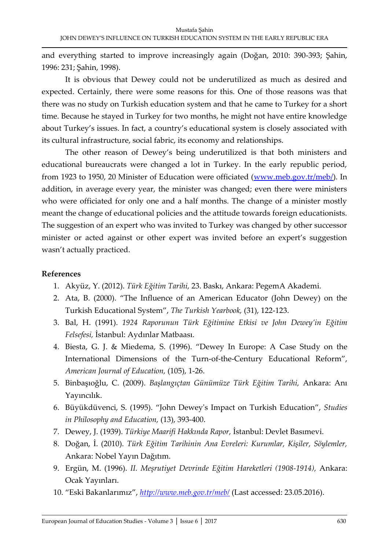and everything started to improve increasingly again (Doğan, 2010: 390-393; Şahin, 1996: 231; Şahin, 1998).

It is obvious that Dewey could not be underutilized as much as desired and expected. Certainly, there were some reasons for this. One of those reasons was that there was no study on Turkish education system and that he came to Turkey for a short time. Because he stayed in Turkey for two months, he might not have entire knowledge about Turkey's issues. In fact, a country's educational system is closely associated with its cultural infrastructure, social fabric, its economy and relationships.

The other reason of Dewey's being underutilized is that both ministers and educational bureaucrats were changed a lot in Turkey. In the early republic period, from 1923 to 1950, 20 Minister of Education were officiated [\(www.meb.gov.tr/meb/\)](http://www.meb.gov.tr/meb/). In addition, in average every year, the minister was changed; even there were ministers who were officiated for only one and a half months. The change of a minister mostly meant the change of educational policies and the attitude towards foreign educationists. The suggestion of an expert who was invited to Turkey was changed by other successor minister or acted against or other expert was invited before an expert's suggestion wasn't actually practiced.

#### **References**

- 1. Akyüz, Y. (2012). *Türk Eğitim Tarihi,* 23. Baskı, Ankara: PegemA Akademi.
- 2. Ata, B. (2000). "The Influence of an American Educator (John Dewey) on the Turkish Educational System", *The Turkish Yearbook,* (31), 122-123.
- 3. Bal, H. (1991). *1924 Raporunun Türk Eğitimine Etkisi ve John Dewey'in Eğitim Felsefesi,* İstanbul: Aydınlar Matbaası.
- 4. Biesta, G. J. & Miedema, S. (1996). "Dewey In Europe: A Case Study on the International Dimensions of the Turn-of-the-Century Educational Reform", *American Journal of Education,* (105), 1-26.
- 5. Binbaşıoğlu, C. (2009). *Başlangıçtan Günümüze Türk Eğitim Tarihi,* Ankara: Anı Yayıncılık.
- 6. Büyükdüvenci, S. (1995). "John Dewey's Impact on Turkish Education", *Studies in Philosophy and Education,* (13), 393-400.
- 7. Dewey, J. (1939). *Türkiye Maarifi Hakkında Rapor,* İstanbul: Devlet Basımevi.
- 8. Doğan, İ. (2010). *Türk Eğitim Tarihinin Ana Evreleri: Kurumlar, Kişiler, Söylemler,* Ankara: Nobel Yayın Dağıtım.
- 9. Ergün, M. (1996). *II. Meşrutiyet Devrinde Eğitim Hareketleri (1908-1914),* Ankara: Ocak Yayınları.
- 10. "Eski Bakanlarımız", *<http://www.meb.gov.tr/meb/>* (Last accessed: 23.05.2016).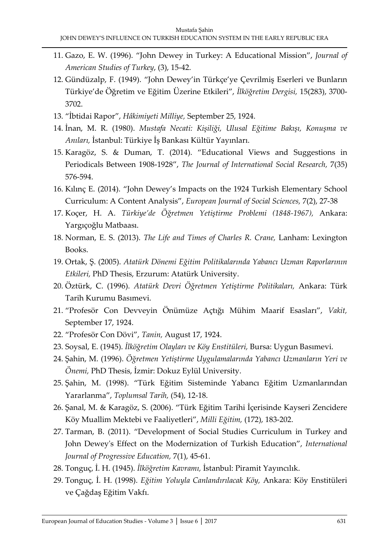- 11. Gazo, E. W. (1996). "John Dewey in Turkey: A Educational Mission", *Journal of American Studies of Turkey*, (3), 15-42.
- 12. Gündüzalp, F. (1949). "John Dewey'in Türkçe'ye Çevrilmiş Eserleri ve Bunların Türkiye'de Öğretim ve Eğitim Üzerine Etkileri", *İlköğretim Dergisi,* 15(283), 3700- 3702.
- 13. "İbtidai Rapor", *Hâkimiyeti Milliye,* September 25, 1924.
- 14. İnan, M. R. (1980). *Mustafa Necati: Kişiliği, Ulusal Eğitime Bakışı, Konuşma ve Anıları,* İstanbul: Türkiye İş Bankası Kültür Yayınları.
- 15. Karagöz, S. & Duman, T. (2014). "Educational Views and Suggestions in Periodicals Between 1908-1928", *The Journal of International Social Research,* 7(35) 576-594.
- 16. Kılınç E. (2014). "John Dewey's Impacts on the 1924 Turkish Elementary School Curriculum: A Content Analysis", *European Journal of Social Sciences,* 7(2), 27-38
- 17. Koçer, H. A. *Türkiye'de Öğretmen Yetiştirme Problemi (1848-1967),* Ankara: Yargıçoğlu Matbaası.
- 18. Norman, E. S. (2013). *The Life and Times of Charles R. Crane,* Lanham: Lexington Books.
- 19. Ortak, Ş. (2005). *Atatürk Dönemi Eğitim Politikalarında Yabancı Uzman Raporlarının Etkileri,* PhD Thesis, Erzurum: Atatürk University.
- 20. Öztürk, C. (1996). *Atatürk Devri Öğretmen Yetiştirme Politikaları,* Ankara: Türk Tarih Kurumu Basımevi.
- 21. "Profesör Con Devveyin Önümüze Açtığı Mühim Maarif Esasları", *Vakit,* September 17, 1924.
- 22. "Profesör Con Dövi", *Tanin,* August 17, 1924.
- 23. Soysal, E. (1945). *İlköğretim Olayları ve Köy Enstitüleri,* Bursa: Uygun Basımevi.
- 24. Şahin, M. (1996). *Öğretmen Yetiştirme Uygulamalarında Yabancı Uzmanların Yeri ve Önemi,* PhD Thesis, İzmir: Dokuz Eylül University.
- 25. Şahin, M. (1998). "Türk Eğitim Sisteminde Yabancı Eğitim Uzmanlarından Yararlanma", *Toplumsal Tarih,* (54), 12-18.
- 26. Şanal, M. & Karagöz, S. (2006). "Türk Eğitim Tarihi İçerisinde Kayseri Zencidere Köy Muallim Mektebi ve Faaliyetleri", *Milli Eğitim,* (172), 183-202.
- 27. Tarman, B. (2011). "Development of Social Studies Curriculum in Turkey and John Dewey's Effect on the Modernization of Turkish Education", *International Journal of Progressive Education,* 7(1), 45-61.
- 28. Tonguç, İ. H. (1945). *İlköğretim Kavramı,* İstanbul: Piramit Yayıncılık.
- 29. Tonguç, İ. H. (1998). *Eğitim Yoluyla Canlandırılacak Köy,* Ankara: Köy Enstitüleri ve Çağdaş Eğitim Vakfı.